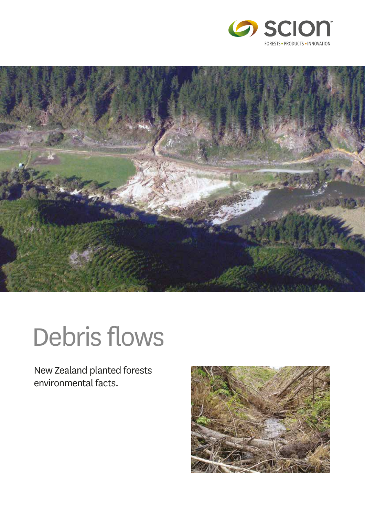



# Debris flows

New Zealand planted forests environmental facts.

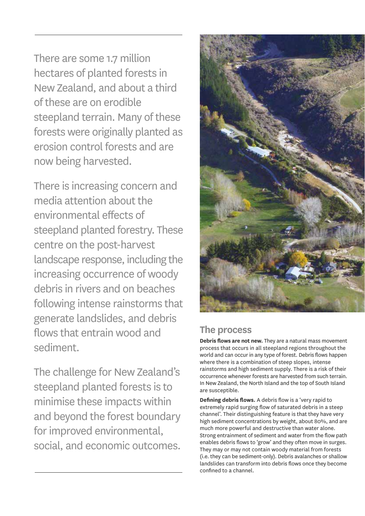There are some 1.7 million hectares of planted forests in New Zealand, and about a third of these are on erodible steepland terrain. Many of these forests were originally planted as erosion control forests and are now being harvested.

There is increasing concern and media attention about the environmental effects of steepland planted forestry. These centre on the post-harvest landscape response, including the increasing occurrence of woody debris in rivers and on beaches following intense rainstorms that generate landslides, and debris flows that entrain wood and sediment.

The challenge for New Zealand's steepland planted forests is to minimise these impacts within and beyond the forest boundary for improved environmental, social, and economic outcomes.



## **The process**

**Debris flows are not new.** They are a natural mass movement process that occurs in all steepland regions throughout the world and can occur in any type of forest. Debris flows happen where there is a combination of steep slopes, intense rainstorms and high sediment supply. There is a risk of their occurrence whenever forests are harvested from such terrain. In New Zealand, the North Island and the top of South Island are susceptible.

**Defining debris flows.** A debris flow is a 'very rapid to extremely rapid surging flow of saturated debris in a steep channel'. Their distinguishing feature is that they have very high sediment concentrations by weight, about 80%, and are much more powerful and destructive than water alone. Strong entrainment of sediment and water from the flow path enables debris flows to 'grow' and they often move in surges. They may or may not contain woody material from forests (i.e. they can be sediment-only). Debris avalanches or shallow landslides can transform into debris flows once they become confined to a channel.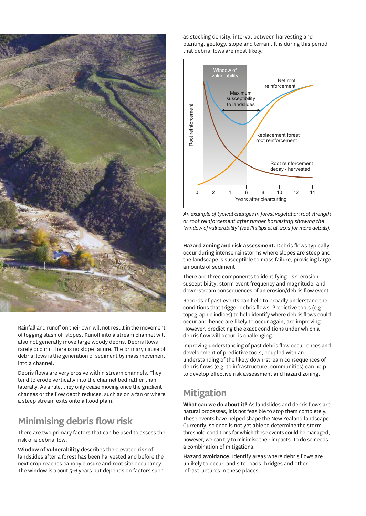

Rainfall and runoff on their own will not result in the movement of logging slash off slopes. Runoff into a stream channel will also not generally move large woody debris. Debris flows rarely occur if there is no slope failure. The primary cause of debris flows is the generation of sediment by mass movement into a channel.

Debris flows are very erosive within stream channels. They tend to erode vertically into the channel bed rather than laterally. As a rule, they only cease moving once the gradient changes or the flow depth reduces, such as on a fan or where a steep stream exits onto a flood plain.

## **Minimising debris flow risk**

There are two primary factors that can be used to assess the risk of a debris flow.

**Window of vulnerability** describes the elevated risk of landslides after a forest has been harvested and before the next crop reaches canopy closure and root site occupancy. The window is about 5-6 years but depends on factors such as stocking density, interval between harvesting and planting, geology, slope and terrain. It is during this period that debris flows are most likely.



*An example of typical changes in forest vegetation root strength or root reinforcement after timber harvesting showing the 'window of vulnerability' (see Phillips et al. 2012 for more details).*

**Hazard zoning and risk assessment.** Debris flows typically occur during intense rainstorms where slopes are steep and the landscape is susceptible to mass failure, providing large amounts of sediment.

There are three components to identifying risk: erosion susceptibility; storm event frequency and magnitude; and down-stream consequences of an erosion/debris flow event.

Records of past events can help to broadly understand the conditions that trigger debris flows. Predictive tools (e.g. topographic indices) to help identify where debris flows could occur and hence are likely to occur again, are improving. However, predicting the exact conditions under which a debris flow will occur, is challenging.

Improving understanding of past debris flow occurrences and development of predictive tools, coupled with an understanding of the likely down-stream consequences of debris flows (e.g. to infrastructure, communities) can help to develop effective risk assessment and hazard zoning.

### **Mitigation**

**What can we do about it?** As landslides and debris flows are natural processes, it is not feasible to stop them completely. These events have helped shape the New Zealand landscape. Currently, science is not yet able to determine the storm threshold conditions for which these events could be managed, however, we can try to minimise their impacts. To do so needs a combination of mitigations.

**Hazard avoidance.** Identify areas where debris flows are unlikely to occur, and site roads, bridges and other